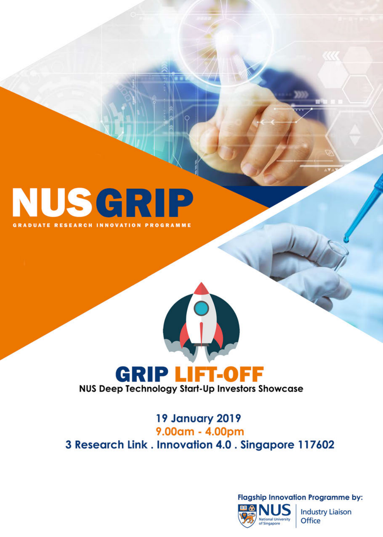# NUSGRIP **RADUATE RESEARCH INNOVATION PROGRAMME**

# **GRIP LIFT-OFF**<br>NUS Deep Technology Start-Up Investors Showcase

#### 19 January 2019 9.00am - 4.00pm 3 Research Link. Innovation 4.0. Singapore 117602

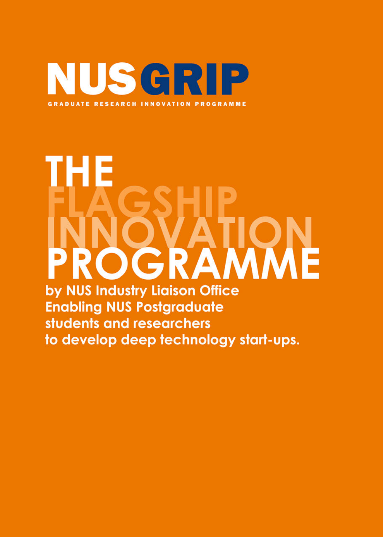

# ΉΕ SCRAMME by NUS Industry Liaison Office **Enabling NUS Postgraduate**

students and researchers to develop deep technology start-ups.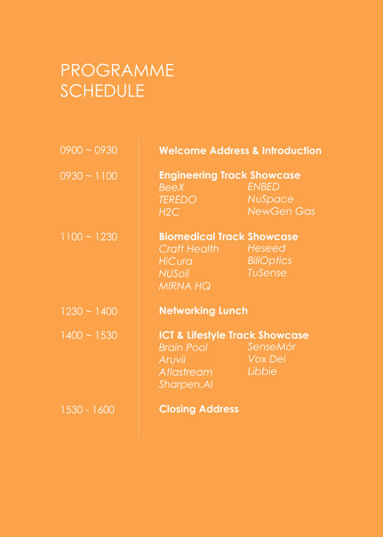### **PROGRAMME SCHEDULE**

| $0900 - 0930$ | <b>Welcome Address &amp; Introduction</b>                                                                    |                                                                       |
|---------------|--------------------------------------------------------------------------------------------------------------|-----------------------------------------------------------------------|
| $0930 - 1100$ | <b>Engineering Track Showcase</b><br><b>BeeX</b><br><b>TEREDO</b><br>H2C                                     | <b>ENBED</b><br><b>NuSpace</b><br><b>NewGen Gas</b>                   |
| $1100 - 1230$ | <b>Biomedical Track Showcase</b><br>Craft Health Heseed<br><b>HiCura</b><br><b>NUSOIL</b><br><b>MIRNA HQ</b> | <b>Example 2</b> BiliOptics<br><b>Example 2</b> TuSense               |
| $1230 - 1400$ | <b>Networking Lunch</b>                                                                                      |                                                                       |
| $1400 - 1530$ | Brain Pool SenseMór<br>Aruvii<br>Atlastream Libbie<br><b>Sharpen.AI</b>                                      | <b>ICT &amp; Lifestyle Track Showcase</b><br><b>Example 1</b> Vox Dei |
| 1530 - 1600   | <b>Closing Address</b>                                                                                       |                                                                       |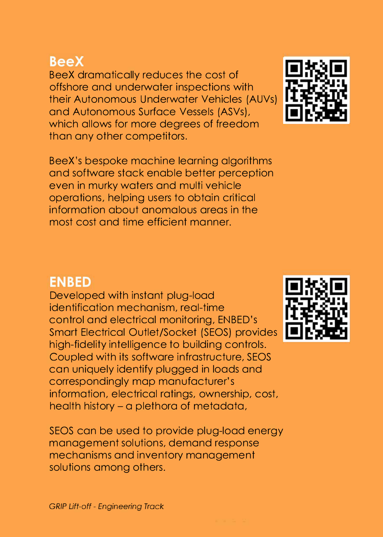#### **BeeX**

BeeX dramatically reduces the cost of offshore and underwater inspections with their Autonomous Underwater Vehicles (AUVs) and Autonomous Surface Vessels (ASVs), which allows for more degrees of freedom than any other competitors.

BeeX's bespoke machine learning algorithms and software stack enable better perception even in murky waters and multi vehicle operations, helping users to obtain critical information about anomalous areas in the most cost and time efficient manner.

#### **ENBED**

Developed with instant plug-load identification mechanism, real-time control and electrical monitoring, ENBED's Smart Electrical Outlet/Socket (SEOS) provides high-fidelity intelligence to building controls. Coupled with its software infrastructure, SEOS can uniquely identify plugged in loads and correspondingly map manufacturer's information, electrical ratings, ownership, cost, health history - a plethora of metadata,

SEOS can be used to provide plug-load energy management solutions, demand response mechanisms and inventory management solutions among others.



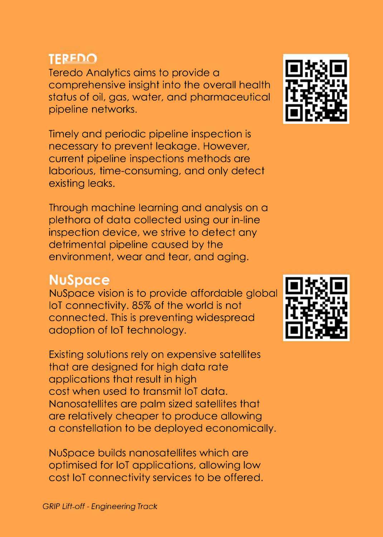#### **TERFDO**

Teredo Analytics aims to provide a comprehensive insight into the overall health status of oil, gas, water, and pharmaceutical pipeline networks.

Timely and periodic pipeline inspection is necessary to prevent leakage. However, current pipeline inspections methods are laborious, time-consuming, and only detect existing leaks.

Through machine learning and analysis on a plethora of data collected using our in-line inspection device, we strive to detect any detrimental pipeline caused by the environment, wear and tear, and aging.

#### **NuSpace**

NuSpace vision is to provide affordable global loT connectivity. 85% of the world is not connected. This is preventing widespread adoption of loT technology.

Existing solutions rely on expensive satellites that are designed for high data rate applications that result in high cost when used to transmit loT data. Nanosatellites are palm sized satellites that are relatively cheaper to produce allowing a constellation to be deployed economically.

NuSpace builds nanosatellites which are optimised for loT applications, allowing low cost loT connectivity services to be offered.



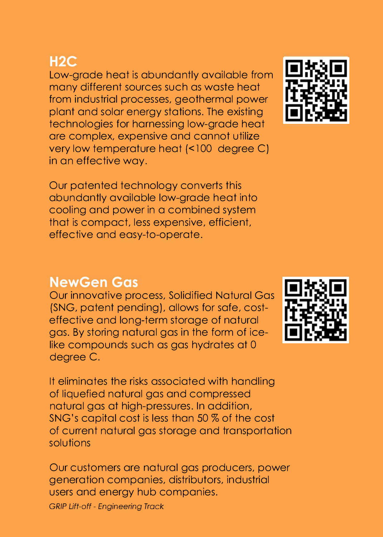#### $H2C$

Low-grade heat is abundantly available from many different sources such as waste heat from industrial processes, geothermal power plant and solar energy stations. The existing technologies for harnessing low-grade heat are complex, expensive and cannot utilize very low temperature heat (<100 degree C) in an effective way.

Our patented technology converts this abundantly available low-grade heat into cooling and power in a combined system that is compact, less expensive, efficient, effective and easy-to-operate.

#### **NewGen Gas**

Our innovative process, Solidified Natural Gas (SNG, patent pending), allows for safe, costeffective and long-term storage of natural gas. By storing natural gas in the form of icelike compounds such as gas hydrates at 0 degree C.

It eliminates the risks associated with handling of liquefied natural gas and compressed natural gas at high-pressures. In addition, SNG's capital cost is less than 50 % of the cost of current natural gas storage and transportation solutions

Our customers are natural gas producers, power generation companies, distributors, industrial users and energy hub companies.

*GRIP Lift-off* - *Engineering Track*



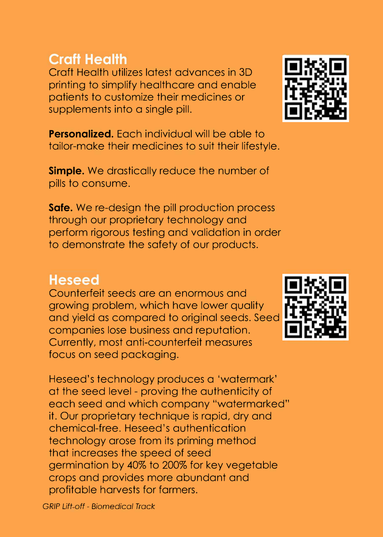*GRIP Lift off* - *Biomedical Track*

#### **Craft Health**

Craft Health utilizes latest advances in 3D printing to simplify healthcare and enable patients to customize their medicines or supplements into a single pill.

**Personalized.** Each individual will be able to tailor-make their medicines to suit their lifestyle.

**Simple.** We drastically reduce the number of pills to consume.

**Safe.** We re-design the pill production process through our proprietary technology and perform rigorous testing and validation in order to demonstrate the safety of our products.

#### **Heseed**

Counterfeit seeds are an enormous and growing problem, which have lower quality and yield as compared to original seeds. Seed companies lose business and reputation. Currently, most anti-counterfeit measures focus on seed packaging.

Heseed's technology produces a 'watermark' at the seed level - proving the authenticity of each seed and which company "watermarked" it. Our proprietary technique is rapid, dry and chemical-free. Heseed 's authentication technology arose from its priming method that increases the speed of seed germination by 40% to 200% for key vegetable crops and provides more abundant and profitable harvests for farmers.



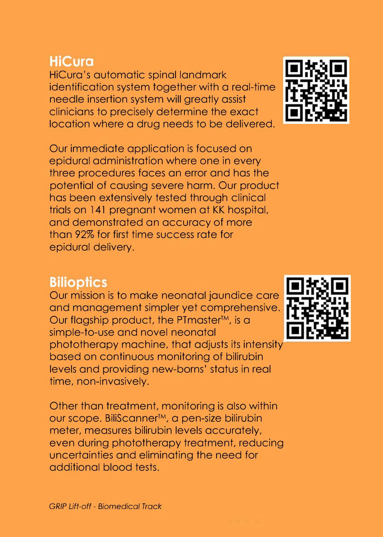#### **HiCura**

HiCura's automatic spinal landmark identification system together with a real-time needle insertion system will greatly assist clinicians to precisely determine the exact location where a drug needs to be delivered.

Our immediate application is focused on epidural administration where one in every three procedures faces an error and has the potential of causing severe harm. Our product has been extensively tested through clinical trials on 141 pregnant women at KK hospital, and demonstrated an accuracy of more than 92% for first time success rate for epidural delivery.

#### **Bilioptics**

Our mission is to make neonatal jaundice care and management simpler yet comprehensive. Our flagship product, the PTmaster™, is a simple-to-use and novel neonatal phototherapy machine, that adjusts its intensity based on continuous monitoring of bilirubin levels and providing new-barns' status in real time, non-invasively.

Other than treatment, monitoring is also within our scope. BiliScanner™, a pen-size bilirubin meter, measures bilirubin levels accurately, even during phototherapy treatment, reducing uncertainties and eliminating the need for additional blood tests.



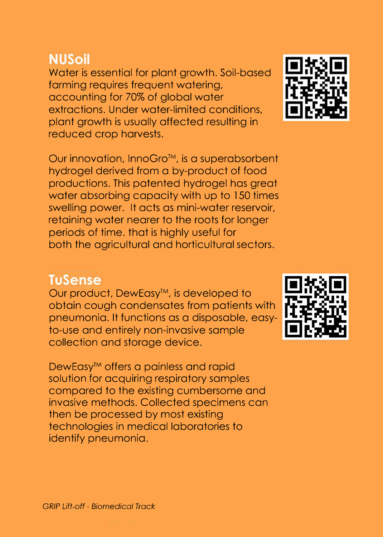#### **NUSoil**

Water is essential for plant growth. Soil-based farming requires frequent watering, accounting for 70% of global water extractions. Under water-limited conditions, plant growth is usually affected resulting in reduced crop harvests.

Our innovation, lnnoGro™, is a superabsorbent hydrogel derived from a by-product of food productions. This patented hydrogel has great water absorbing capacity with up to 150 times swelling power. It acts as mini-water reservoir, retaining water nearer to the roots for longer periods of time. that is highly useful for both the agricultural and horticultural sectors.

#### **TuSense**

Our product, DewEasy™, is developed to obtain cough condensates from patients with pneumonia. It functions as a disposable, easyto-use and entirely non-invasive sample collection and storage device.

DewEasy™ offers a painless and rapid solution for acquiring respiratory samples compared to the existing cumbersome and invasive methods. Collected specimens can then be processed by most existing technologies in medical laboratories to identify pneumonia.



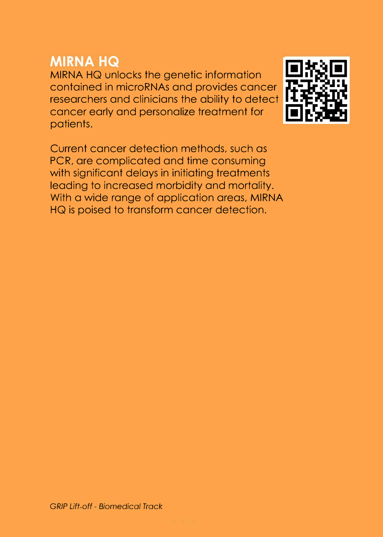#### **MIRNA HQ**

MIRNA HQ unlocks the genetic information contained in microRNAs and provides cancer researchers and clinicians the ability to detect cancer early and personalize treatment for patients.

Current cancer detection methods, such as PCR, are complicated and time consuming with significant delays in initiating treatments leading to increased morbidity and mortality. With a wide range of application areas, MIRNA HQ is poised to transform cancer detection.

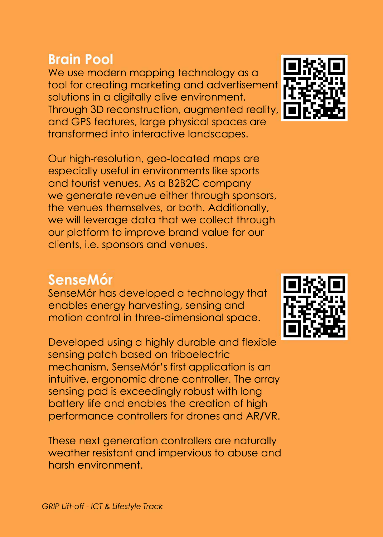#### **Brain Pool**

We use modern mapping technology as a tool for creating marketing and advertisement solutions in a digitally alive environment. Through 3D reconstruction, augmented reality, and GPS features, large physical spaces are transformed into interactive landscapes.

Our high-resolution, geo-located maps are especially useful in environments like sports and tourist venues. As a B2B2C company we generate revenue either through sponsors, the venues themselves, or both. Additionally, we will leverage data that we collect through our platform to improve brand value for our clients, i.e. sponsors and venues.

### **SenseMor**

SenseM6r has developed a technology that enables energy harvesting, sensing and motion control in three-dimensional space.

Developed using a highly durable and flexible sensing patch based on triboelectric mechanism, SenseM6r's first application is an intuitive, ergonomic drone controller. The array sensing pad is exceedingly robust with long battery life and enables the creation of high performance controllers for drones and AR/VR.

These next generation controllers are naturally weather resistant and impervious to abuse and harsh environment.



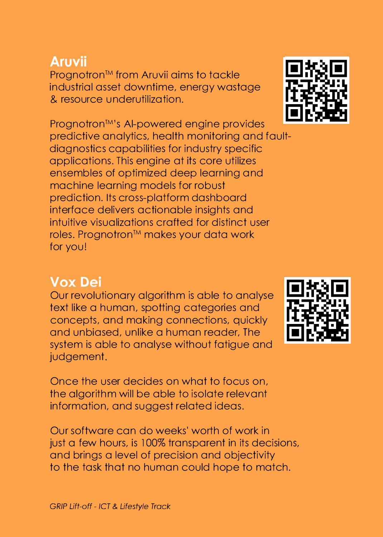#### **Aruvii**

Prognotron™ from Aruvii aims to tackle industrial asset downtime, energy wastage & resource underutilization.

Prognotron™ 's Al-powered engine provides predictive analytics, health monitoring and faultdiagnostics capabilities for industry specific applications. This engine at its core utilizes ensembles of optimized deep learning and machine learning models for robust prediction. Its cross-platform dashboard interface delivers actionable insights and intuitive visualizations crafted for distinct user roles. Prognotron™ makes your data work for you!

#### **Vox Dei**

Our revolutionary algorithm is able to analyse text like a human, spotting categories and concepts, and making connections, quickly and unbiased, unlike a human reader, The system is able to analyse without fatigue and judgement.

Once the user decides on what to focus on, the algorithm will be able to isolate relevant information, and suggest related ideas.

Our software can do weeks' worth of work in just a few hours, is 100% transparent in its decisions, and brings a level of precision and objectivity to the task that no human could hope to match.



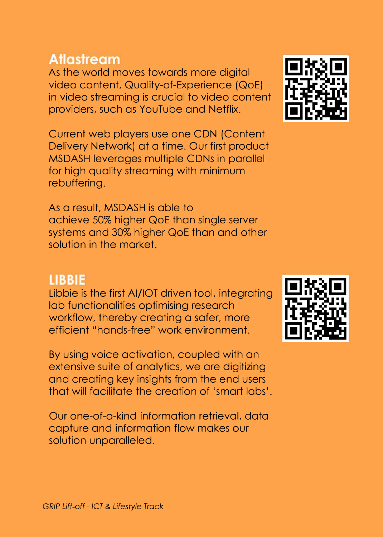#### **Atlastream**

As the world moves towards more digital video content, Quality-of-Experience (QoE) in video streaming is crucial to video content providers, such as YouTube and Netflix.

Current web players use one CDN (Content Delivery Network) at a time. Our first product MSDASH leverages multiple CDNs in parallel for high quality streaming with minimum rebuffering.

As a result, MSDASH is able to achieve 50% higher QoE than single server systems and 30% higher QoE than and other solution in the market.

#### **LIBBIE**

Libbie is the first AI/IOT driven tool, integrating lab functionalities optimising research workflow, thereby creating a safer, more efficient "hands-free" work environment.

By using voice activation, coupled with an extensive suite of analytics, we are digitizing and creating key insights from the end users that will facilitate the creation of 'smart labs'.

Our one-of-a-kind information retrieval, data capture and information flow makes our solution unparalleled.



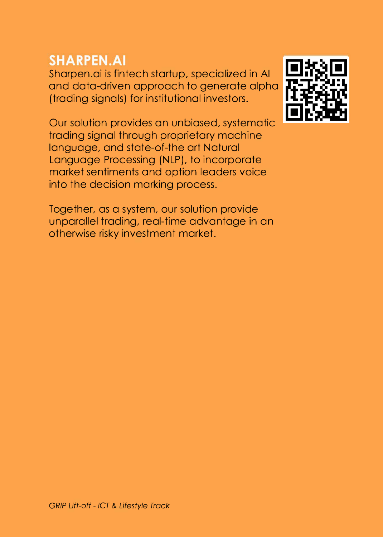#### **SHARPEN.AI**

Sharpen.ai is fintech startup, specialized in Al and data-driven approach to generate alpha (trading signals) for institutional investors.

Our solution provides an unbiased, systematic trading signal through proprietary machine language, and state-of-the art Natural Language Processing (NLP), to incorporate market sentiments and option leaders voice into the decision marking process.

Together, as a system, our solution provide unparallel trading, real-time advantage in an otherwise risky investment market.